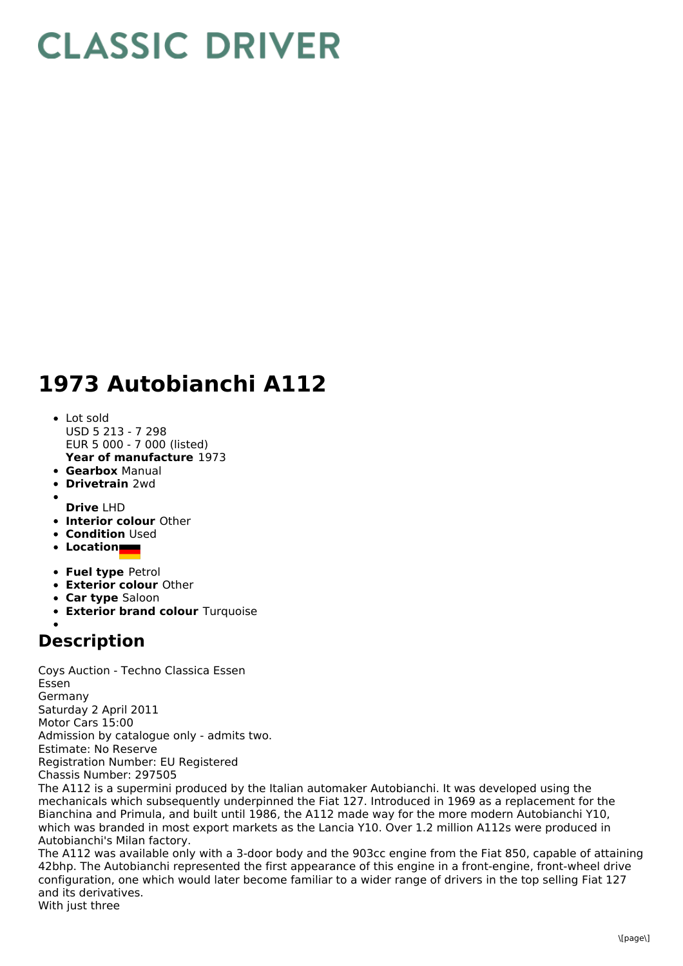## **CLASSIC DRIVER**

## **1973 Autobianchi A112**

- **Year of manufacture** 1973 • Lot sold USD 5 213 - 7 298 EUR 5 000 - 7 000 (listed)
- **Gearbox** Manual
- **Drivetrain** 2wd  $\bullet$
- **Drive** LHD
- **Interior colour** Other
- **Condition Used**
- **Location**
- **Fuel type** Petrol
- **Exterior colour** Other
- **Car type** Saloon
- **Exterior brand colour** Turquoise

## **Description**

Coys Auction - Techno Classica Essen Essen Germany Saturday 2 April 2011 Motor Cars 15:00 Admission by catalogue only - admits two. Estimate: No Reserve Registration Number: EU Registered Chassis Number: 297505

The A112 is a supermini produced by the Italian automaker Autobianchi. It was developed using the mechanicals which subsequently underpinned the Fiat 127. Introduced in 1969 as a replacement for the Bianchina and Primula, and built until 1986, the A112 made way for the more modern Autobianchi Y10, which was branded in most export markets as the Lancia Y10. Over 1.2 million A112s were produced in Autobianchi's Milan factory.

The A112 was available only with a 3-door body and the 903cc engine from the Fiat 850, capable of attaining 42bhp. The Autobianchi represented the first appearance of this engine in a front-engine, front-wheel drive configuration, one which would later become familiar to a wider range of drivers in the top selling Fiat 127 and its derivatives.

With just three